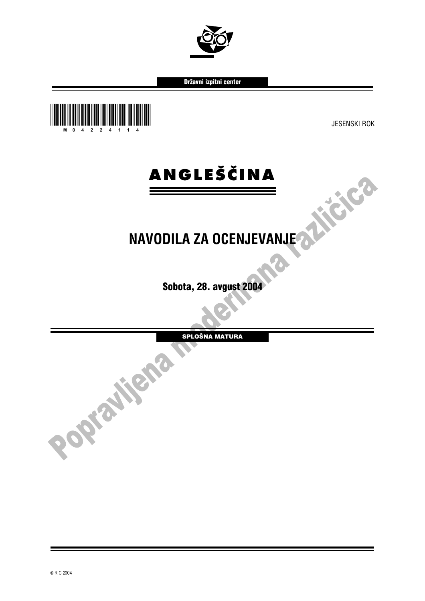

Državni izpitni center





## **NAVODILA ZA OCENJEVANJE**

Sobota, 28. avgust 2004

SPLOŠNA MATURA

í I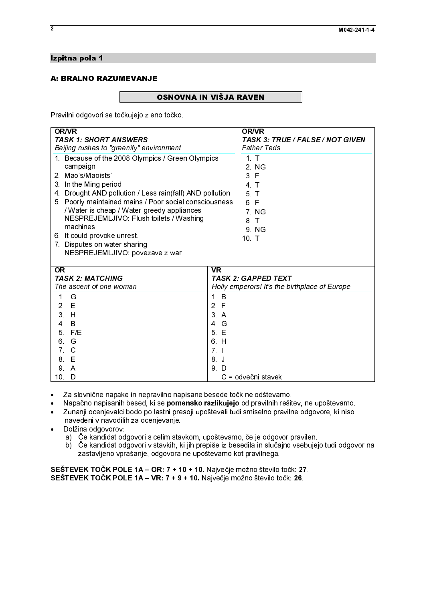# Izpitna pola 1<br>A: BRALNO RAZUMEVANJE  $\overline{a}$

A: BRALAND RAZUMEVANDE<br>A: Braciliai o decuari e a teătruisia zi esc Pravilni odgovori se točkujejo z eno točko.

| Pravilni odgovori se točkujejo z eno točko.                                                                                                                                                                                                          |                             |                                                  |
|------------------------------------------------------------------------------------------------------------------------------------------------------------------------------------------------------------------------------------------------------|-----------------------------|--------------------------------------------------|
| <b>OR/VR</b><br><b>TASK 1: SHORT ANSWERS</b>                                                                                                                                                                                                         |                             | <b>OR/VR</b><br>TASK 3: TRUE / FALSE / NOT GIVEN |
| Beijing rushes to "greenify" environment<br>1. Because of the 2008 Olympics / Green Olympics                                                                                                                                                         |                             | <b>Father Teds</b><br>1 <sub>1</sub>             |
| campaign<br>2 Mao's/Maoists'<br>3. In the Ming period                                                                                                                                                                                                |                             | 2 NG<br>3 F<br>4 <sub>1</sub>                    |
| 4. Drought AND pollution / Less rain(fall) AND pollution<br>5. Poorly maintained mains / Poor social consciousness<br>/ Water is cheap / Water-greedy appliances                                                                                     |                             | 5 <sub>T</sub><br>6 F<br>7 NG                    |
| NESPREJEMLJIVO: Flush toilets / Washing<br>machines<br>6. It could provoke unrest.                                                                                                                                                                   |                             | 8 T<br>9 NG                                      |
| 7. Disputes on water sharing<br>NESPREJEMLJIVO: povezave z war                                                                                                                                                                                       |                             | 10 T                                             |
| OR<br><b>TASK 2: MATCHING</b><br>The ascent of one woman                                                                                                                                                                                             | $\overline{\mathsf{VR}}$    | <b>TASK 2: GAPPED TEXT</b>                       |
| 1 G<br>2 E                                                                                                                                                                                                                                           | 1. B<br>2 F                 | Holly emperors! It's the birthplace of Europe    |
| 3H<br>4 B<br>5 F/E                                                                                                                                                                                                                                   | 3A<br>4 <sub>6</sub><br>5 E |                                                  |
| 6<br>G<br>7 <sub>c</sub>                                                                                                                                                                                                                             | 6. H<br>7 <sub>1</sub>      |                                                  |
| 8 E<br>9 A<br>10 <sub>1</sub><br>D                                                                                                                                                                                                                   | 8 J<br>9. D                 | C = odvečni stavek                               |
| Za slovnične napake in nepravilno napisane besede točk ne odštevamo.<br>$\bullet$<br>Napačno napisanih besed, ki se pomensko razlikujejo od pravilnih rešitev, ne upoštevamo.<br>$\bullet$                                                           |                             |                                                  |
| Zunanji ocenjevalci bodo po lastni presoji upoštevali tudi smiselno pravilne odgovore, ki niso<br>$\bullet$<br>navedeni v navodilih za ocenjevanje.<br>Dolžina odgovorov:<br>$\bullet$                                                               |                             |                                                  |
| a) Če kandidat odgovori s celim stavkom, upoštevamo, če je odgovor pravilen.<br>b) Če kandidat odgovori v stavkih, ki jih prepiše iz besedila in slučajno vsebujejo tudi odgovor na<br>zastavljeno vprašanje, odgovora ne upoštevamo kot pravilnega. |                             |                                                  |
| SEŠTEVEK TOČK POLE 1A - OR: 7 + 10 + 10. Največje možno število točk: 27.<br>SEŠTEVEK TOČK POLE 1A - VR: 7 + 9 + 10. Največje možno število točk: 26.                                                                                                |                             |                                                  |
|                                                                                                                                                                                                                                                      |                             |                                                  |
|                                                                                                                                                                                                                                                      |                             |                                                  |
|                                                                                                                                                                                                                                                      |                             |                                                  |
|                                                                                                                                                                                                                                                      |                             |                                                  |
|                                                                                                                                                                                                                                                      |                             |                                                  |
|                                                                                                                                                                                                                                                      |                             |                                                  |
|                                                                                                                                                                                                                                                      |                             |                                                  |
|                                                                                                                                                                                                                                                      |                             |                                                  |
|                                                                                                                                                                                                                                                      |                             |                                                  |
|                                                                                                                                                                                                                                                      |                             |                                                  |
|                                                                                                                                                                                                                                                      |                             |                                                  |
|                                                                                                                                                                                                                                                      |                             |                                                  |
|                                                                                                                                                                                                                                                      |                             |                                                  |
|                                                                                                                                                                                                                                                      |                             |                                                  |
|                                                                                                                                                                                                                                                      |                             |                                                  |
|                                                                                                                                                                                                                                                      |                             |                                                  |
|                                                                                                                                                                                                                                                      |                             |                                                  |
|                                                                                                                                                                                                                                                      |                             |                                                  |
|                                                                                                                                                                                                                                                      |                             |                                                  |
|                                                                                                                                                                                                                                                      |                             |                                                  |
|                                                                                                                                                                                                                                                      |                             |                                                  |
|                                                                                                                                                                                                                                                      |                             |                                                  |
|                                                                                                                                                                                                                                                      |                             |                                                  |
|                                                                                                                                                                                                                                                      |                             |                                                  |
|                                                                                                                                                                                                                                                      |                             |                                                  |
|                                                                                                                                                                                                                                                      |                             |                                                  |
|                                                                                                                                                                                                                                                      |                             |                                                  |
|                                                                                                                                                                                                                                                      |                             |                                                  |
|                                                                                                                                                                                                                                                      |                             |                                                  |
|                                                                                                                                                                                                                                                      |                             |                                                  |
|                                                                                                                                                                                                                                                      |                             |                                                  |
|                                                                                                                                                                                                                                                      |                             |                                                  |
|                                                                                                                                                                                                                                                      |                             |                                                  |
|                                                                                                                                                                                                                                                      |                             |                                                  |
|                                                                                                                                                                                                                                                      |                             |                                                  |
|                                                                                                                                                                                                                                                      |                             |                                                  |
|                                                                                                                                                                                                                                                      |                             |                                                  |
|                                                                                                                                                                                                                                                      |                             |                                                  |
|                                                                                                                                                                                                                                                      |                             |                                                  |
|                                                                                                                                                                                                                                                      |                             |                                                  |
|                                                                                                                                                                                                                                                      |                             |                                                  |
|                                                                                                                                                                                                                                                      |                             |                                                  |
|                                                                                                                                                                                                                                                      |                             |                                                  |
|                                                                                                                                                                                                                                                      |                             |                                                  |
|                                                                                                                                                                                                                                                      |                             |                                                  |
|                                                                                                                                                                                                                                                      |                             |                                                  |
|                                                                                                                                                                                                                                                      |                             |                                                  |
|                                                                                                                                                                                                                                                      |                             |                                                  |
|                                                                                                                                                                                                                                                      |                             |                                                  |
|                                                                                                                                                                                                                                                      |                             |                                                  |
|                                                                                                                                                                                                                                                      |                             |                                                  |
|                                                                                                                                                                                                                                                      |                             |                                                  |

C = odvečni stavek<br>de točk ne odštevam<br>:**ujejo** od pravilnih re<br>ali tudi smiselno pra<br>evamo, če je odgovc<br>iz besedila in slučajı<br>mo kot pravilnega.<br>ečje možno število toč<br>čje možno število toč -Napačno napisanih besed, ki se **pomensko razlikujejo** od pravilnih rešitev, ne upoštevamo.<br>Zunanji ocenjevalci bodo po lastni presoji upoštevali tudi smiselno pravilne odgovore, ki niso<br>navedeni v navodilih za ocenjevanje. Zunanji ocenjevalci bodo po lastni presoji upoštevali tudi smiselno pravilne odgovore, ki niso navedeni v navodilih za ocenjevanje.

- Dolžina odgovorov:
	- a) Če kandidat odgovori s celim stavkom, upoštevamo, če je odgovor pravilen.
	- b) Če kandidat odgovori v stavkih, ki jih prepiše iz besedila in slučajno vsebujejo tudi odgovor na zastavljeno vprašanje, odgovora ne upoštevamo kot pravilnega.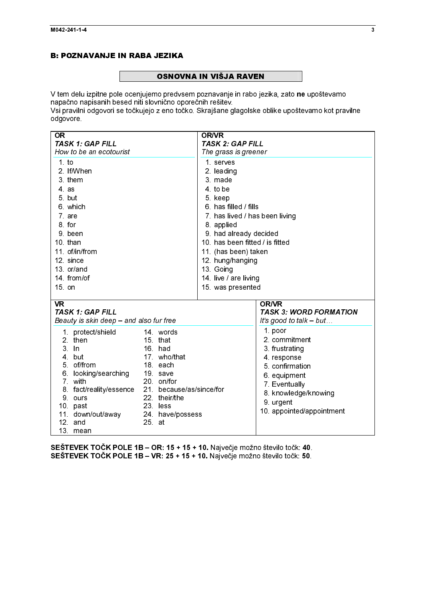# **Example 2** OSNOV

 $\frac{1}{2}$ **OSNOVNA IN VIŠJA RAVEN**<br>V tem delu izpitne pole ocenjujemo predvsem poznavanje in rabo jezika, zato ne upoštevamo<br>napačno napisanih besed niti slovnično oporečnih rešitev.<br>Vsi pravilni odgovori se točkujejo z eno točko. S

| .<br>napačno napisanih besed niti slovnično oporečnih rešitev.<br>Vsi pravilni odgovori se točkujejo z eno točko. Skrajšane glagolske oblike upoštevamo kot pravilne<br>odgovore. |                                                                                  | $\mathcal{L}$                                                       |
|-----------------------------------------------------------------------------------------------------------------------------------------------------------------------------------|----------------------------------------------------------------------------------|---------------------------------------------------------------------|
| <b>OR</b><br>TASK 1: GAP FILL<br>How to be an ecotourist                                                                                                                          | <b>OR/VR</b><br><b>TASK 2: GAP FILL</b><br>The grass is greener                  |                                                                     |
| $1$ to<br>2 If/When                                                                                                                                                               | 1. serves<br>2. leading                                                          |                                                                     |
| 3. them<br>$4$ as<br>5 but                                                                                                                                                        | 3 made<br>4 to be<br>5 keep                                                      |                                                                     |
| 6 which<br>7 are<br>8 for                                                                                                                                                         | 6 has filled / fills<br>7. has lived / has been living<br>8 applied              |                                                                     |
| 9 been<br>10 than<br>11 of/in/from                                                                                                                                                | 9 had already decided<br>10. has been fitted / is fitted<br>11. (has been) taken |                                                                     |
| 12 since<br>13 or/and<br>14 from/of                                                                                                                                               | 12 hung/hanging<br>13 Going<br>14 live / are living                              |                                                                     |
| 15. on<br><b>VR</b>                                                                                                                                                               | 15 was presented                                                                 | <b>OR/VR</b>                                                        |
| <b>TASK 1: GAP FILL</b><br>Beauty is skin deep - and also fur free<br>1 protect/shield<br>14 words                                                                                |                                                                                  | <b>TASK 3: WORD FORMATION</b><br>It's good to talk - but<br>1. poor |
| 2 then<br>15 that<br>3. In<br>16 had<br>17 who/that<br>4 but                                                                                                                      |                                                                                  | 2 commitment<br>3 frustrating<br>4 response                         |
| 5 of/from<br>18 each<br>6. looking/searching<br>19. save<br>7 with<br>20 on/for                                                                                                   |                                                                                  | 5 confirmation<br>6. equipment<br>7. Eventually                     |
| 21. because/as/since/for<br>8. fact/reality/essence<br>22 their/the<br>9 ours<br>10 past<br>23 less                                                                               |                                                                                  | 8. knowledge/knowing<br>9. urgent<br>10. appointed/appointment      |
| 11 down/out/away<br>24 have/possess<br>12 and<br>25 at<br>13 mean                                                                                                                 |                                                                                  |                                                                     |
| SEŠTEVEK TOČK POLE 1B – OR: 15 + 15 + 10. Največje možno število točk: 40.<br>SEŠTEVEK TOČK POLE 1B – VR: 25 + 15 + 10. Največje možno število točk: 50.                          |                                                                                  |                                                                     |
|                                                                                                                                                                                   |                                                                                  |                                                                     |
|                                                                                                                                                                                   |                                                                                  |                                                                     |
|                                                                                                                                                                                   |                                                                                  |                                                                     |
|                                                                                                                                                                                   |                                                                                  |                                                                     |
|                                                                                                                                                                                   |                                                                                  |                                                                     |
|                                                                                                                                                                                   |                                                                                  |                                                                     |
|                                                                                                                                                                                   |                                                                                  |                                                                     |
|                                                                                                                                                                                   |                                                                                  |                                                                     |
|                                                                                                                                                                                   |                                                                                  |                                                                     |
|                                                                                                                                                                                   |                                                                                  |                                                                     |
|                                                                                                                                                                                   |                                                                                  |                                                                     |
|                                                                                                                                                                                   |                                                                                  |                                                                     |
|                                                                                                                                                                                   |                                                                                  |                                                                     |
|                                                                                                                                                                                   |                                                                                  |                                                                     |
|                                                                                                                                                                                   |                                                                                  |                                                                     |
|                                                                                                                                                                                   |                                                                                  |                                                                     |
|                                                                                                                                                                                   |                                                                                  |                                                                     |
|                                                                                                                                                                                   |                                                                                  |                                                                     |
|                                                                                                                                                                                   |                                                                                  |                                                                     |
|                                                                                                                                                                                   |                                                                                  |                                                                     |
|                                                                                                                                                                                   |                                                                                  |                                                                     |
|                                                                                                                                                                                   |                                                                                  |                                                                     |
|                                                                                                                                                                                   |                                                                                  |                                                                     |
|                                                                                                                                                                                   |                                                                                  |                                                                     |
|                                                                                                                                                                                   |                                                                                  |                                                                     |
|                                                                                                                                                                                   |                                                                                  |                                                                     |
|                                                                                                                                                                                   |                                                                                  |                                                                     |
|                                                                                                                                                                                   |                                                                                  |                                                                     |
|                                                                                                                                                                                   |                                                                                  |                                                                     |
|                                                                                                                                                                                   |                                                                                  |                                                                     |
|                                                                                                                                                                                   |                                                                                  |                                                                     |
|                                                                                                                                                                                   |                                                                                  |                                                                     |
|                                                                                                                                                                                   |                                                                                  |                                                                     |
|                                                                                                                                                                                   |                                                                                  |                                                                     |
|                                                                                                                                                                                   |                                                                                  |                                                                     |
|                                                                                                                                                                                   |                                                                                  |                                                                     |
|                                                                                                                                                                                   |                                                                                  |                                                                     |
|                                                                                                                                                                                   |                                                                                  |                                                                     |
|                                                                                                                                                                                   |                                                                                  |                                                                     |
|                                                                                                                                                                                   |                                                                                  |                                                                     |
|                                                                                                                                                                                   |                                                                                  |                                                                     |
|                                                                                                                                                                                   |                                                                                  |                                                                     |
|                                                                                                                                                                                   |                                                                                  |                                                                     |
|                                                                                                                                                                                   |                                                                                  |                                                                     |
|                                                                                                                                                                                   |                                                                                  |                                                                     |
|                                                                                                                                                                                   |                                                                                  |                                                                     |
|                                                                                                                                                                                   |                                                                                  |                                                                     |
|                                                                                                                                                                                   |                                                                                  |                                                                     |
|                                                                                                                                                                                   |                                                                                  |                                                                     |
|                                                                                                                                                                                   |                                                                                  |                                                                     |
|                                                                                                                                                                                   |                                                                                  |                                                                     |
|                                                                                                                                                                                   |                                                                                  |                                                                     |
|                                                                                                                                                                                   |                                                                                  |                                                                     |
|                                                                                                                                                                                   |                                                                                  |                                                                     |
|                                                                                                                                                                                   |                                                                                  |                                                                     |
|                                                                                                                                                                                   |                                                                                  |                                                                     |
|                                                                                                                                                                                   |                                                                                  |                                                                     |
|                                                                                                                                                                                   |                                                                                  |                                                                     |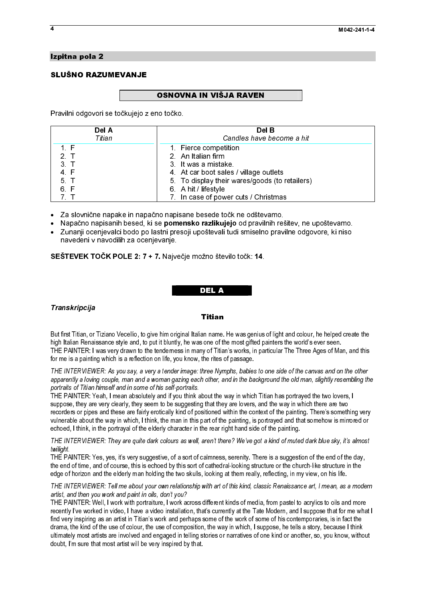# Izpitna pola 2<br>SLUŠNO RAZUMEVANJE SLUŠNO RAZUMEVANJE<br>SLUŠNO RAZUMEVANJE

 $\overline{F}$ Pravilni odgovori se točkujejo z eno točko.

| Del A          | Del B                                          |
|----------------|------------------------------------------------|
| Titian         | Candles have become a hit                      |
| 1. F           | 1 Fierce competition                           |
| 2 <sub>T</sub> | 2 An Italian firm                              |
| 3 T            | 3 It was a mistake                             |
| 4 F            | 4 At car boot sales / village outlets          |
| 5 T            | 5. To display their wares/goods (to retailers) |
| 6. F           | 6 A hit / lifestyle                            |
|                | 7. In case of power cuts / Christmas           |

Za slovnične napake in napačno napisane besede točk ne odštevamo.

- · Napačno napisanih besed, ki se **pomensko razlikujejo** od pravilnih rešitev, ne upoštevamo.
- $\ddot{\bullet}$ - Napačno napisanih besed, ki se **pomensko razlikujejo** od pravilnih rešitev, ne upoštevamo.<br>- Zunanji ocenjevalci bodo po lastni presoji upoštevali tudi smiselno pravilne odgovore, ki niso<br>- navedeni v navodilih za ocenje Zunanji ocenjevalci bodo po lastni presoji upoštevali tudi smiselno pravilne odgovore, ki niso navedeni v navodilih za ocenjevanje.

SEŠTEVEK TOČK POLE 2: 7 + 7. Največje možno število točk: 14.<br>DEL A

## $\ddot{\phantom{0}}$  Transkripcija<br>Transkripcija<br>**Del Anglicija Strandard Anglicija (d. 1988)** Transkripcija

=======<br>an name<br>s one of th<br>וע of Titiar But first Titian, or Tiziano Vecellio, to give him original Italian name. He was genius of light and colour, he helped create the high Italian Renaissance style and, to put it bluntly, he was one of the most gifted painters the world's ever seen. THE PAINTER: I was very drawn to the tenderness in many of Titian's works, in particular The Three Ages of Man, and this for me is a painting which is a reflection on life, you know, the rites of passage.

THE INTERVIEWER: As you say, a very a tender image: three Nymphs, babies to one side of the canvas and on the other apparently a loving couple, man and a woman gazing each other, and in the background the old man, slightly resembling the portraits of Titian himself and in some of his self-portraits.

THE PAINTER: Yeah, I mean absolutely and if you think about the way in which Titian has portrayed the two lovers, I suppose, they are very clearly, they seem to be suggesting that they are lovers, and the way in which there are two recorders or pipes and these are fairly erotically kind of positioned within the context of the painting. There's something very vulnerable about the way in which, I think, the man in this part of the painting, is portrayed and that somehow is mirrored or echoed, I think, in the portrayal of the elderly character in the rear right hand side of the painting.

THE INTERVIEWER: They are quite dark colours as well, aren't there? We've got a kind of muted dark blue sky, it's almost twilight.

THE PAINTER: Yes, yes, it's very suggestive, of a sort of calmness, serenity. There is a suggestion of the end of the day, the end of time, and of course, this is echoed by this sort of cathedral-looking structure or the church-like structure in the edge of horizon and the elderly man holding the two skulls, looking at them really, reflecting, in my view, on his life.

THE INTERVIEWER: Tell me about your own relationship with art of this kind, classic Renaissance art, I mean, as a modern artist, and then you work and paint in oils, don't you?

THE PAINTER: Well, I work with portraiture, I work across different kinds of media, from pastel to acrylics to oils and more recently I've worked in video, I have a video installation, that's currently at the Tate Modern, and I suppose that for me what I find very inspiring as an artist in Titian's work and perhaps some of the work of some of his contemporaries, is in fact the drama, the kind of the use of colour, the use of composition, the way in which, I suppose, he tells a story, because I think ultimately most artists are involved and engaged in telling stories or narratives of one kind or another, so, you know, without doubt, I'm sure that most artist will be very inspired by that.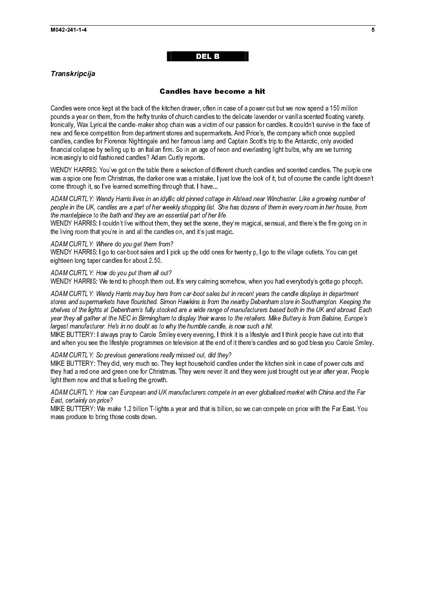## DEL BERTHE DEL BERTHE DEL BERTHE DEL BERTHE DEL BERTHE DEL BERTHE DEL BERTHE DEL BERTHE DEL BERTHE DEL BERTHE

#### Transkripcija

#### **Candles have become a hit**

Candles were once kept at the back of the kitchen drawer, often in case of a power cut but we now spend a 150 million pounds a year on them, from the hefty trunks of church candles to the delicate lavender or vanilla scented floating variety. Ironically, Wax Lyrical the candle-maker shop chain was a victim of our passion for candles. It couldn't survive in the face of new and fierce competition from department stores and supermarkets. And Price's, the company which once supplied candles, candles for Florence Nightingale and her famous lamp and Captain Scott's trip to the Antarctic, only avoided financial collapse by selling up to an Italian firm. So in an age of neon and everlasting light bulbs, why are we turning increasingly to old fashioned candles? Adam Curtly reports.

WENDY HARRIS: You've got on the table there a selection of different church candles and scented candles. The purple one was a spice one from Christmas, the darker one was a mistake, I just love the look of it, but of course the candle light doesn't come through it, so I've learned something through that. I have...

ADAM CURTLY: Wendy Harris lives in an idyllic old pinned cottage in Alstead near Winchester. Like a growing number of people in the UK, candles are a part of her weekly shopping list. She has dozens of them in every room in her house, from the mantelpiece to the bath and they are an essential part of her life.

WENDY HARRIS: I couldn't live without them, they set the scene, they're magical, sensual, and there's the fire going on in the living room that you're in and all the candles on, and it's just magic.

ADAM CURTLY: Where do you get them from?

WENDY HARRIS: I go to car-boot sales and I pick up the odd ones for twenty p, I go to the village outlets. You can get eighteen long taper candles for about 2.50.

ADAM CURTLY: How do you put them all out? WENDY HARRIS: We tend to phooph them out. It's very calming somehow, when you had everybody's gotta go phooph.

ADAM CURTLY: Wendy Harris may buy hers from car-boot sales but in recent years the candle displays in department stores and supermarkets have flourished. Simon Hawkins is from the nearby Debenham store in Southampton. Keeping the shelves of the lights at Debenham's fully stocked are a wide range of manufacturers based both in the UK and abroad. Each year they all gather at the NEC in Birmingham to display their wares to the retailers. Mike Buttery is from Balsine, Europe's largest manufacturer. He's in no doubt as to why the humble candle, is now such a hit.

MIKE BUTTERY: I always pray to Carole Smiley every evening, I think it is a lifestyle and I think people have cut into that and when you see the lifestyle programmes on television at the end of it there's candles and so god bless you Carole Smiley.

ADAM CURTLY: So previous generations really missed out, did they?

MIKE BUTTERY: They did, very much so. They kept household candles under the kitchen sink in case of power cuts and they had a red one and green one for Christmas. They were never lit and they were just brought out year after year. People light them now and that is fuelling the growth.

ADAM CURTLY: How can European and UK manufacturers compete in an ever globalised market with China and the Far East, certainly on price?

MIKE BUTTERY: We make 1.2 billion T-lights a year and that is billion, so we can compete on price with the Far East. You mass produce to bring those costs down.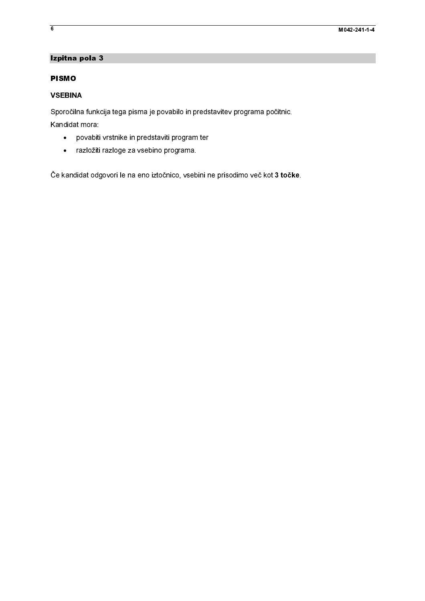## Izpitna pola 3

### $\overline{a}$ PISMO

## **VSEBINA**

Sporočilna<br>Kandidat n<br>• po<br>• raz<br>Če kandida Sporočilna funkcija tega pisma je povabilo in predstavitev programa počitnic. Sanddat mora:<br>
• povabili vrstrike in predstaviti program tar<br>
• razložiti razloge za vsebino programa.<br>
Ce kandidat odgovori le na eno lztočnico, vsebini ne prisodimo več kot 3 točk Kandidat mora:

- 
- 

• povabiti<br>• razložiti<br>Če kandidat odg razložiti razloge za vsebino programa.<br>Iidat odgovori le na eno iztočnico, vsebini n razložiti razložiti razložiti razložiti razložiti razložiti razložiti razložiti razložiti razložiti razložiti r<br>Idat odgovori le na eno iztočnico, vseb Če kandidat odgovori le na eno iztočnico, vsebini ne prisodimo več kot 3 točke.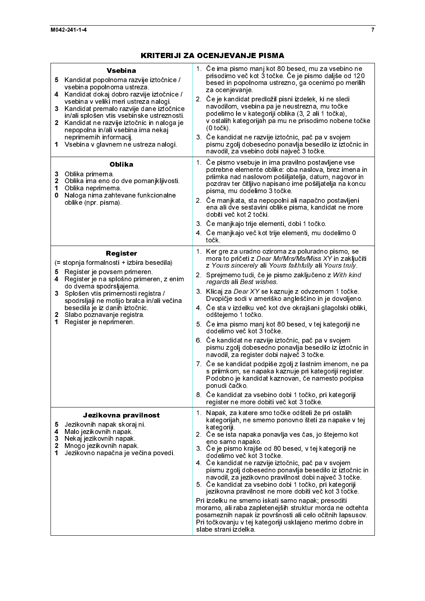| 5.<br>4<br>3<br>$\mathbf{2}$<br>1<br>3<br>2<br>1<br>0<br>5<br>4<br>3<br>1<br>5<br>4<br>2<br>1 | <b>Vsebina</b><br>Kandidat popolnoma razvije iztočnice /<br>vsebina popolnoma ustreza.<br>Kandidat dokaj dobro razvije iztočnice /<br>vsebina v veliki meri ustreza nalogi.<br>Kandidat premalo razvije dane iztočnice<br>in/ali splošen vtis vsebinske ustreznosti.<br>Kandidat ne razvije iztočnic in naloga je<br>nepopolna in/ali vsebina ima nekaj<br>neprimernih informacij.<br>Vsebina v glavnem ne ustreza nalogi.<br><b>Oblika</b><br>Oblika primerna<br>Oblika ima eno do dve pomanjkljivosti.<br>Oblika neprimerna<br>Naloga nima zahtevane funkcionalne<br>oblike (npr. pisma).<br>Register<br>(= stopnja formalnosti + izbira besedila)<br>Register je povsem primeren.<br>Register je na splošno primeren, z enim<br>do dvema spodrsljajema.<br>Splošen vtis primernosti registra /<br>spodrsljaji ne motijo bralca in/ali večina<br>besedila je iz danih iztočnic.<br>2 Slabo poznavanje registra<br>Register je neprimeren.<br>Jezikovna pravilnost<br>Jezikovnih napak skoraj ni.<br>Malo jezikovnih napak<br>3 Nekaj jezikovnih napak.<br>Mnogo jezikovnih napak<br>Jezikovno napačna je večina povedi. | 1. Če ima pismo manj kot 80 besed, mu za vsebino ne<br>prisodimo več kot 3 točke. Če je pismo daljše od 120<br>besed in popolnoma ustrezno, ga ocenimo po merilih<br>za ocenjevanje.<br>2. Če je kandidat predložil pisni izdelek, ki ne sledi<br>navodilom, vsebina pa je neustrezna, mu točke<br>podelimo le v kategoriji oblika (3, 2 ali 1 točka),<br>v ostalih kategorijah pa mu ne prisodimo nobene točke<br>$(0 to \check{c}k).$<br>3. Če kandidat ne razvije iztočnic, pač pa v svojem<br>pismu zgolj dobesedno ponavlja besedilo iz iztočnic in<br>navodil, za vsebino dobi največ 3 točke.<br>1. Če pismo vsebuje in ima pravilno postavljene vse<br>potrebne elemente oblike: oba naslova, brez imena in<br>priimka nad naslovom pošiljatelja, datum, nagovor in<br>pozdrav ter čitljivo napisano ime pošiljatelja na koncu<br>pisma, mu dodelimo 3 točke.<br>2. Če manjkata, sta nepopolni ali napačno postavljeni<br>ena ali dve sestavini oblike pisma, kandidat ne more<br>dobiti več kot 2 točki.<br>3. Če manjkajo trije elementi, dobi 1 točko.<br>4. Če manjkajo več kot trije elementi, mu dodelimo 0<br>točk<br>1. Ker gre za uradno oziroma za poluradno pismo, se<br>mora to pričeti z Dear Mr/Mrs/Ms/Miss XY in zaključiti<br>z Yours sincerely ali Yours faithfully ali Yours truly<br>2. Sprejmemo tudi, če je pismo zaključeno z With kind<br>regards ali Best wishes<br>3. Klicaj za Dear XY se kaznuje z odvzemom 1 točke.<br>Dvopičje sodi v ameriško angleščino in je dovoljeno.<br>4. Če sta v izdelku več kot dve okrajšani glagolski obliki,<br>odštejemo 1 točko.<br>5. Če ima pismo manj kot 80 besed, v tej kategoriji ne<br>dodelimo več kot 3 točke.<br>6 Če kandidat ne razvije iztočnic, pač pa v svojem<br>pismu zgolj dobesedno ponavlja besedilo iz iztočnic in<br>navodil, za register dobi največ 3 točke.<br>7. Če se kandidat podpiše zgolj z lastnim imenom, ne pa<br>s priimkom, se napaka kaznuje pri kategoriji register.<br>Podobno je kandidat kaznovan, če namesto podpisa<br>ponudi čačko.<br>8. Če kandidat za vsebino dobi 1 točko, pri kategoriji<br>register ne more dobiti več kot 3 točke.<br>1. Napak, za katere smo točke odšteli že pri ostalih<br>kategorijah, ne smemo ponovno šteti za napake v tej<br>kategoriji.<br>2. Če se ista napaka ponavlja ves čas, jo štejemo kot<br>eno samo napako.<br>3. Če je pismo krajše od 80 besed, v tej kategoriji ne<br>dodelimo več kot 3 točke<br>4 Če kandidat ne razvije iztočnic, pač pa v svojem<br>pismu zgolj dobesedno ponavlja besedilo iz iztočnic in<br>navodil, za jezikovno pravilnost dobi največ 3 točke.<br>5. Če kandidat za vsebino dobi 1 točko, pri kategoriji<br>jezikovna pravilnost ne more dobiti več kot 3 točke.<br>Pri izdelku ne smemo iskati samo napak; presoditi<br>moramo, ali raba zapletenejših struktur morda ne odtehta<br>posameznih napak iz površnosti ali celo očitnih lapsusov.<br>Pri točkovanju v tej kategoriji usklajeno merimo dobre in<br>slabe strani izdelka. |
|-----------------------------------------------------------------------------------------------|---------------------------------------------------------------------------------------------------------------------------------------------------------------------------------------------------------------------------------------------------------------------------------------------------------------------------------------------------------------------------------------------------------------------------------------------------------------------------------------------------------------------------------------------------------------------------------------------------------------------------------------------------------------------------------------------------------------------------------------------------------------------------------------------------------------------------------------------------------------------------------------------------------------------------------------------------------------------------------------------------------------------------------------------------------------------------------------------------------------------------|--------------------------------------------------------------------------------------------------------------------------------------------------------------------------------------------------------------------------------------------------------------------------------------------------------------------------------------------------------------------------------------------------------------------------------------------------------------------------------------------------------------------------------------------------------------------------------------------------------------------------------------------------------------------------------------------------------------------------------------------------------------------------------------------------------------------------------------------------------------------------------------------------------------------------------------------------------------------------------------------------------------------------------------------------------------------------------------------------------------------------------------------------------------------------------------------------------------------------------------------------------------------------------------------------------------------------------------------------------------------------------------------------------------------------------------------------------------------------------------------------------------------------------------------------------------------------------------------------------------------------------------------------------------------------------------------------------------------------------------------------------------------------------------------------------------------------------------------------------------------------------------------------------------------------------------------------------------------------------------------------------------------------------------------------------------------------------------------------------------------------------------------------------------------------------------------------------------------------------------------------------------------------------------------------------------------------------------------------------------------------------------------------------------------------------------------------------------------------------------------------------------------------------------------------------------------------------------------------------------------------------------------------------------------------------------------------------------------------------------------------------------------------------------------------------------------------------------------------------------------------------------------------------------------------------------------------------------------------------------------------------------------------|
|                                                                                               |                                                                                                                                                                                                                                                                                                                                                                                                                                                                                                                                                                                                                                                                                                                                                                                                                                                                                                                                                                                                                                                                                                                           |                                                                                                                                                                                                                                                                                                                                                                                                                                                                                                                                                                                                                                                                                                                                                                                                                                                                                                                                                                                                                                                                                                                                                                                                                                                                                                                                                                                                                                                                                                                                                                                                                                                                                                                                                                                                                                                                                                                                                                                                                                                                                                                                                                                                                                                                                                                                                                                                                                                                                                                                                                                                                                                                                                                                                                                                                                                                                                                                                                                                                          |
|                                                                                               |                                                                                                                                                                                                                                                                                                                                                                                                                                                                                                                                                                                                                                                                                                                                                                                                                                                                                                                                                                                                                                                                                                                           |                                                                                                                                                                                                                                                                                                                                                                                                                                                                                                                                                                                                                                                                                                                                                                                                                                                                                                                                                                                                                                                                                                                                                                                                                                                                                                                                                                                                                                                                                                                                                                                                                                                                                                                                                                                                                                                                                                                                                                                                                                                                                                                                                                                                                                                                                                                                                                                                                                                                                                                                                                                                                                                                                                                                                                                                                                                                                                                                                                                                                          |
|                                                                                               |                                                                                                                                                                                                                                                                                                                                                                                                                                                                                                                                                                                                                                                                                                                                                                                                                                                                                                                                                                                                                                                                                                                           |                                                                                                                                                                                                                                                                                                                                                                                                                                                                                                                                                                                                                                                                                                                                                                                                                                                                                                                                                                                                                                                                                                                                                                                                                                                                                                                                                                                                                                                                                                                                                                                                                                                                                                                                                                                                                                                                                                                                                                                                                                                                                                                                                                                                                                                                                                                                                                                                                                                                                                                                                                                                                                                                                                                                                                                                                                                                                                                                                                                                                          |
|                                                                                               |                                                                                                                                                                                                                                                                                                                                                                                                                                                                                                                                                                                                                                                                                                                                                                                                                                                                                                                                                                                                                                                                                                                           |                                                                                                                                                                                                                                                                                                                                                                                                                                                                                                                                                                                                                                                                                                                                                                                                                                                                                                                                                                                                                                                                                                                                                                                                                                                                                                                                                                                                                                                                                                                                                                                                                                                                                                                                                                                                                                                                                                                                                                                                                                                                                                                                                                                                                                                                                                                                                                                                                                                                                                                                                                                                                                                                                                                                                                                                                                                                                                                                                                                                                          |
|                                                                                               |                                                                                                                                                                                                                                                                                                                                                                                                                                                                                                                                                                                                                                                                                                                                                                                                                                                                                                                                                                                                                                                                                                                           |                                                                                                                                                                                                                                                                                                                                                                                                                                                                                                                                                                                                                                                                                                                                                                                                                                                                                                                                                                                                                                                                                                                                                                                                                                                                                                                                                                                                                                                                                                                                                                                                                                                                                                                                                                                                                                                                                                                                                                                                                                                                                                                                                                                                                                                                                                                                                                                                                                                                                                                                                                                                                                                                                                                                                                                                                                                                                                                                                                                                                          |
|                                                                                               |                                                                                                                                                                                                                                                                                                                                                                                                                                                                                                                                                                                                                                                                                                                                                                                                                                                                                                                                                                                                                                                                                                                           |                                                                                                                                                                                                                                                                                                                                                                                                                                                                                                                                                                                                                                                                                                                                                                                                                                                                                                                                                                                                                                                                                                                                                                                                                                                                                                                                                                                                                                                                                                                                                                                                                                                                                                                                                                                                                                                                                                                                                                                                                                                                                                                                                                                                                                                                                                                                                                                                                                                                                                                                                                                                                                                                                                                                                                                                                                                                                                                                                                                                                          |
|                                                                                               |                                                                                                                                                                                                                                                                                                                                                                                                                                                                                                                                                                                                                                                                                                                                                                                                                                                                                                                                                                                                                                                                                                                           |                                                                                                                                                                                                                                                                                                                                                                                                                                                                                                                                                                                                                                                                                                                                                                                                                                                                                                                                                                                                                                                                                                                                                                                                                                                                                                                                                                                                                                                                                                                                                                                                                                                                                                                                                                                                                                                                                                                                                                                                                                                                                                                                                                                                                                                                                                                                                                                                                                                                                                                                                                                                                                                                                                                                                                                                                                                                                                                                                                                                                          |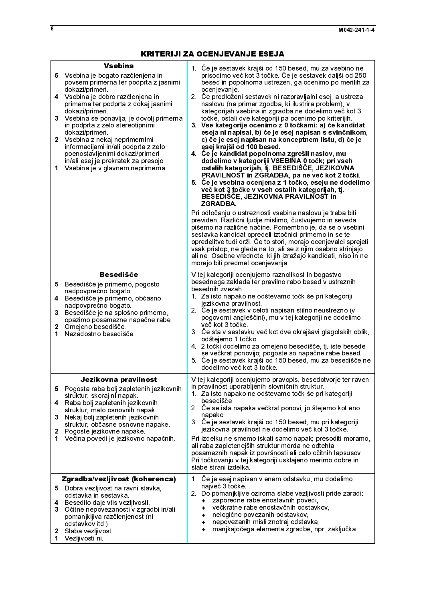| <b>Vsebina</b><br>5 Vsebina je bogato razčlenjena in<br>povsem primerna ter podprta z jasnimi<br>dokazi/primeri.<br>4 Vsebina je dobro razčlenjena in<br>primerna ter podprta z dokaj jasnimi<br>dokazi/primeri.<br>3 Vsebina se ponavlja, je dovolj primerna<br>in podprta z zelo stereotipnimi<br>dokazi/primeri.<br>2 Vsebina z nekaj neprimernimi<br>informacijami in/ali podprta z zelo<br>poenostavljenimi dokazi/primeri<br>in/ali esej je prekratek za presojo.<br>Vsebina je v glavnem neprimerna.<br>1 | 1. Če je sestavek krajši od 150 besed, mu za vsebino ne<br>prisodimo več kot 3 točke. Če je sestavek daljši od 250<br>besed in popolnoma ustrezen, ga ocenimo po merilih za<br>ocenjevanje<br>2. Če predloženi sestavek ni razpravljalni esej, a ustreza<br>naslovu (na primer zgodba, ki ilustrira problem), v<br>kategorijah vsebina in zgradba ne dodelimo več kot 3<br>točke, ostali dve kategoriji pa ocenimo po kriterijih.<br>3. Vse kategorije ocenimo z 0 točkami: a) če kandidat<br>eseja ni napisal, b) če je esej napisan s svinčnikom,<br>c) če je esej napisan na konceptnem listu, d) če je<br>esej krajši od 100 besed.<br>4. Če je kandidat popolnoma zgrešil naslov, mu<br>dodelimo v kategoriji VSEBINA 0 točk; pri vseh<br>ostalih kategorijah, tj. BESEDIŠČE, JEZIKOVNA<br>PRAVILNOST in ZGRADBA, pa ne več kot 2 točki.<br>5. Če je vsebina ocenjena z 1 točko, eseju ne dodelimo<br>več kot 3 točke v vseh ostalih kategorijah, tj.<br>BESEDIŠČE, JEZIKOVNA PRAVILNOST in<br><b>ZGRADBA</b><br>Pri odločanju o ustreznosti vsebine naslovu je treba biti<br>previden. Različni ljudje mislimo, čustvujemo in seveda<br>pišemo na različne načine. Pomembno je, da se o vsebini<br>sestavka kandidat opredeli iztočnici primerno in se te<br>opredelitve tudi drži. Če to stori, morajo ocenjevalci sprejeti<br>vsak pristop, ne glede na to, ali se z njim osebno strinjajo<br>ali ne. Osebne vrednote, ki jih izražajo kandidati, niso in ne<br>morejo biti predmet ocenjevanja. |
|------------------------------------------------------------------------------------------------------------------------------------------------------------------------------------------------------------------------------------------------------------------------------------------------------------------------------------------------------------------------------------------------------------------------------------------------------------------------------------------------------------------|----------------------------------------------------------------------------------------------------------------------------------------------------------------------------------------------------------------------------------------------------------------------------------------------------------------------------------------------------------------------------------------------------------------------------------------------------------------------------------------------------------------------------------------------------------------------------------------------------------------------------------------------------------------------------------------------------------------------------------------------------------------------------------------------------------------------------------------------------------------------------------------------------------------------------------------------------------------------------------------------------------------------------------------------------------------------------------------------------------------------------------------------------------------------------------------------------------------------------------------------------------------------------------------------------------------------------------------------------------------------------------------------------------------------------------------------------------------------------------------------------------|
| <b>Besedišče</b><br>5 Besedišče je primerno, pogosto<br>nadpovprečno bogato.<br>4 Besedišče je primerno, občasno<br>nadpovprečno bogato.<br>3<br>Besedišče je na splošno primerno,<br>opazimo posamezne napačne rabe<br>2 Omejeno besedišče<br>Nezadostno besedišče<br>1                                                                                                                                                                                                                                         | V tej kategoriji ocenjujemo raznolikost in bogastvo<br>besednega zaklada ter pravilno rabo besed v ustreznih<br>besednih zvezah.<br>1. Za isto napako ne odštevamo točk še pri kategoriji<br>jezikovna pravilnost<br>2. Če je sestavek v celoti napisan stilno neustrezno (v<br>pogovorni angleščini), mu v tej kategoriji ne dodelimo<br>več kot 3 točke<br>3. Če sta v sestavku več kot dve okrajšavi glagolskih oblik,<br>odštejemo 1 točko<br>4 2 točki dodelimo za omejeno besedišče, tj. iste besede<br>se večkrat ponovijo; pogoste so napačne rabe besed.<br>5. Če je sestavek krajši od 150 besed, mu za besedišče ne<br>dodelimo več kot 3 točke.                                                                                                                                                                                                                                                                                                                                                                                                                                                                                                                                                                                                                                                                                                                                                                                                                                              |
| Jezikovna pravilnost<br>Pogosta raba bolj zapletenih jezikovnih<br>5.<br>struktur, skoraj ni napak.<br>4 Raba bolj zapletenih jezikovnih<br>struktur, malo osnovnih napak.<br>Nekaj bolj zapletenih jezikovnih<br>3.<br>struktur, občasne osnovne napake.<br>2<br>Pogoste jezikovne napake<br>Večina povedi je jezikovno napačnih.<br>1                                                                                                                                                                          | V tej kategoriji ocenjujemo pravopis, besedotvorje ter raven<br>in pravilnost uporabljenih slovničnih struktur.<br>1. Za isto napako ne odštevamo točk še pri kategoriji<br>besedišče<br>2. Če se ista napaka večkrat ponovi, jo štejemo kot eno<br>napako.<br>3. Če je sestavek krajši od 150 besed, mu pri kategoriji<br>jezikovna pravilnost ne dodelimo več kot 3 točke.<br>Pri izdelku ne smemo iskati samo napak; presoditi moramo,<br>ali raba zapletenejših struktur morda ne odtehta<br>posameznih napak iz površnosti ali celo očitnih lapsusov.<br>Pri točkovanju v tej kategoriji usklajeno merimo dobre in<br>slabe strani izdelka                                                                                                                                                                                                                                                                                                                                                                                                                                                                                                                                                                                                                                                                                                                                                                                                                                                          |
| Zgradba/vezljivost (koherenca)<br>5 Dobra vezljivost na ravni stavka,<br>odstavka in sestavka<br>Besedilo daje vtis vezljivosti.<br>4<br>3 Očitne nepovezanosti v zgradbi in/ali<br>pomanjkljiva razčlenjenost (ni<br>odstavkov itd.).<br>Slaba vezljivost<br>2<br>1<br>Vezljivosti ni.                                                                                                                                                                                                                          | 1 <sup>1</sup><br>Če je esej napisan v enem odstavku, mu dodelimo<br>največ 3 točke<br>2. Do pomanjkljive oziroma slabe vezljivosti pride zaradi:<br>zaporedne rabe enostavnih povedi,<br>۰<br>večkratne rabe enostavčnih odstavkov,<br>nelogično povezanih odstavkov,<br>٠<br>nepovezanih misli znotraj odstavka,<br>٠<br>manjkajočega elementa zgradbe, npr. zaključka.<br>٠                                                                                                                                                                                                                                                                                                                                                                                                                                                                                                                                                                                                                                                                                                                                                                                                                                                                                                                                                                                                                                                                                                                           |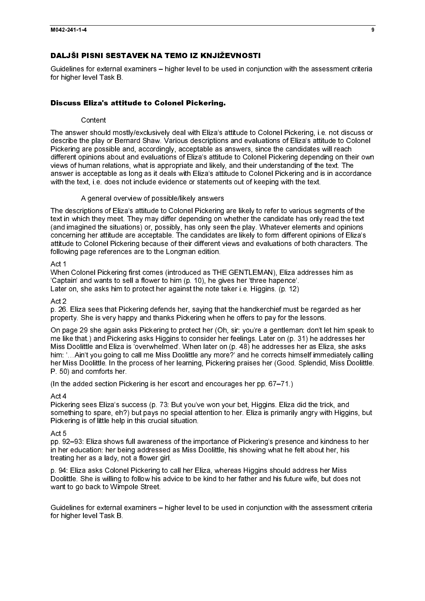## DALJŠI PISNI SESTAVEK NA TEMO IZ KNJIŽEVNOSTI

Guidelines for external examiners – higher level to be used in conjunction with the assessment criteria for higher level Task B.

### Discuss Eliza's attitude to Colonel Pickering.

#### Content

The answer should mostly/exclusively deal with Eliza's attitude to Colonel Pickering, i.e. not discuss or describe the play or Bernard Shaw. Various descriptions and evaluations of Eliza's attitude to Colonel Pickering are possible and, accordingly, acceptable as answers, since the candidates will reach different opinions about and evaluations of Eliza's attitude to Colonel Pickering depending on their own views of human relations, what is appropriate and likely, and their understanding of the text. The answer is acceptable as long as it deals with Eliza's attitude to Colonel Pickering and is in accordance with the text, i.e. does not include evidence or statements out of keeping with the text.

#### A general overview of possible/likely answers

The descriptions of Eliza's attitude to Colonel Pickering are likely to refer to various segments of the text in which they meet. They may differ depending on whether the candidate has only read the text (and imagined the situations) or, possibly, has only seen the play. Whatever elements and opinions concerning her attitude are acceptable. The candidates are likely to form different opinions of Eliza's attitude to Colonel Pickering because of their different views and evaluations of both characters. The following page references are to the Longman edition.

#### Act 1

When Colonel Pickering first comes (introduced as THE GENTLEMAN), Eliza addresses him as 'Captain' and wants to sell a flower to him (p. 10), he gives her 'three hapence'. Later on, she asks him to protect her against the note taker i.e. Higgins. (p. 12)

### Act 2

p. 26. Eliza sees that Pickering defends her, saying that the handkerchief must be regarded as her property. She is very happy and thanks Pickering when he offers to pay for the lessons.

On page 29 she again asks Pickering to protect her (Oh, sir: you're a gentleman: don't let him speak to me like that.) and Pickering asks Higgins to consider her feelings. Later on (p. 31) he addresses her Miss Doolittle and Eliza is 'overwhelmed'. When later on (p. 48) he addresses her as Eliza, she asks him: '…Ain't you going to call me Miss Doolittle any more?' and he corrects himself immediately calling her Miss Doolittle. In the process of her learning, Pickering praises her (Good. Splendid, Miss Doolittle. P. 50) and comforts her.

(In the added section Pickering is her escort and encourages her pp. 67–71.)

#### Act 4

Pickering sees Eliza's success (p. 73: But you've won your bet, Higgins. Eliza did the trick, and something to spare, eh?) but pays no special attention to her. Eliza is primarily angry with Higgins, but Pickering is of little help in this crucial situation.

## Act 5

pp. 92–93: Eliza shows full awareness of the importance of Pickering's presence and kindness to her in her education: her being addressed as Miss Doolittle, his showing what he felt about her, his treating her as a lady, not a flower girl.

p. 94: Eliza asks Colonel Pickering to call her Eliza, whereas Higgins should address her Miss Doolittle. She is willing to follow his advice to be kind to her father and his future wife, but does not want to go back to Wimpole Street.

Guidelines for external examiners – higher level to be used in conjunction with the assessment criteria for higher level Task B.